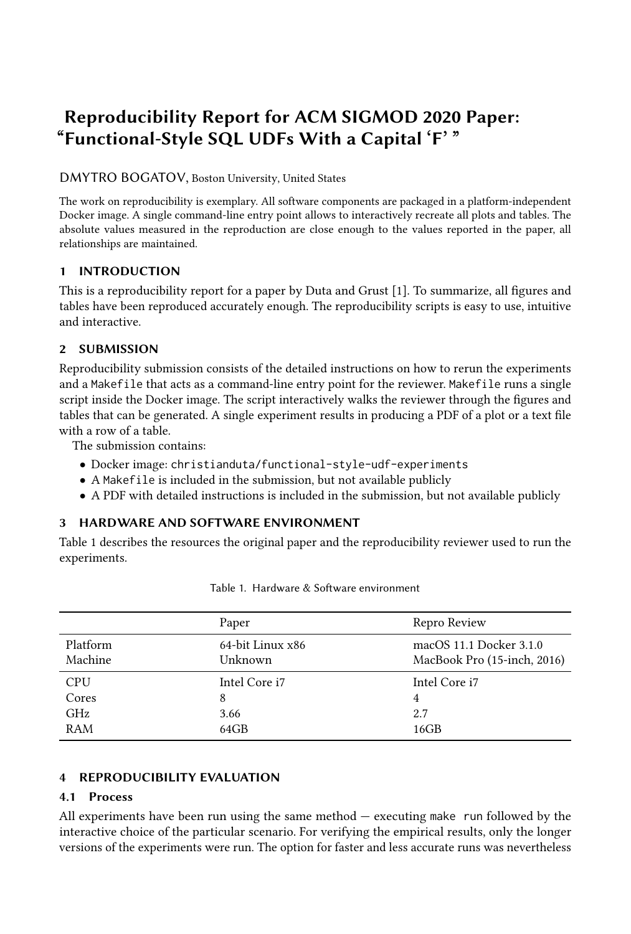# Reproducibility Report for ACM SIGMOD 2020 Paper: "Functional-Style SQL UDFs With a Capital 'F' "

DMYTRO BOGATOV, Boston University, United States

The work on reproducibility is exemplary. All software components are packaged in a platform-independent Docker image. A single command-line entry point allows to interactively recreate all plots and tables. The absolute values measured in the reproduction are close enough to the values reported in the paper, all relationships are maintained.

#### 1 INTRODUCTION

This is a reproducibility report for a paper by Duta and Grust [\[1\]](#page-1-0). To summarize, all figures and tables have been reproduced accurately enough. The reproducibility scripts is easy to use, intuitive and interactive.

## 2 SUBMISSION

Reproducibility submission consists of the detailed instructions on how to rerun the experiments and a Makefile that acts as a command-line entry point for the reviewer. Makefile runs a single script inside the Docker image. The script interactively walks the reviewer through the figures and tables that can be generated. A single experiment results in producing a PDF of a plot or a text file with a row of a table.

The submission contains:

- Docker image: christianduta/functional-style-udf-experiments
- A Makefile is included in the submission, but not available publicly
- A PDF with detailed instructions is included in the submission, but not available publicly

## 3 HARDWARE AND SOFTWARE ENVIRONMENT

Table [1](#page-0-0) describes the resources the original paper and the reproducibility reviewer used to run the experiments.

<span id="page-0-0"></span>

|                     | Paper                       | Repro Review                                           |  |
|---------------------|-----------------------------|--------------------------------------------------------|--|
| Platform<br>Machine | 64-bit Linux x86<br>Unknown | macOS 11.1 Docker 3.1.0<br>MacBook Pro (15-inch, 2016) |  |
| <b>CPU</b>          | Intel Core i7               | Intel Core i7                                          |  |
| Cores               | 8                           | 4                                                      |  |
| GHz                 | 3.66                        | 2.7                                                    |  |
| RAM                 | 64GB                        | 16GB                                                   |  |

Table 1. Hardware & Software environment

## 4 REPRODUCIBILITY EVALUATION

## 4.1 Process

All experiments have been run using the same method — executing make run followed by the interactive choice of the particular scenario. For verifying the empirical results, only the longer versions of the experiments were run. The option for faster and less accurate runs was nevertheless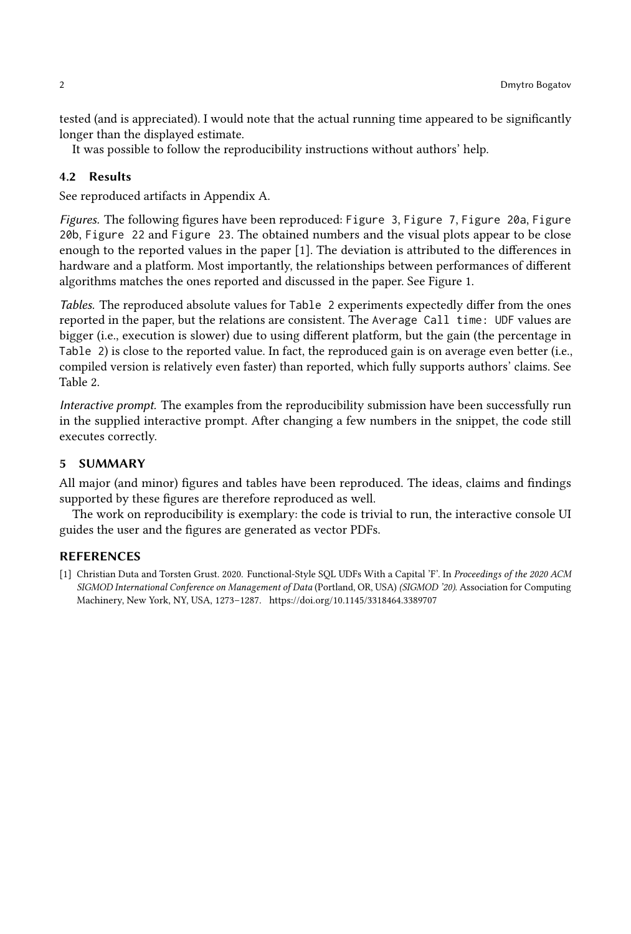tested (and is appreciated). I would note that the actual running time appeared to be significantly longer than the displayed estimate.

It was possible to follow the reproducibility instructions without authors' help.

#### 4.2 Results

See reproduced artifacts in Appendix [A.](#page-2-0)

Figures. The following figures have been reproduced: Figure 3, Figure 7, Figure 20a, Figure 20b, Figure 22 and Figure 23. The obtained numbers and the visual plots appear to be close enough to the reported values in the paper [\[1\]](#page-1-0). The deviation is attributed to the differences in hardware and a platform. Most importantly, the relationships between performances of different algorithms matches the ones reported and discussed in the paper. See Figure [1.](#page-2-1)

Tables. The reproduced absolute values for Table 2 experiments expectedly differ from the ones reported in the paper, but the relations are consistent. The Average Call time: UDF values are bigger (i.e., execution is slower) due to using different platform, but the gain (the percentage in Table 2) is close to the reported value. In fact, the reproduced gain is on average even better (i.e., compiled version is relatively even faster) than reported, which fully supports authors' claims. See Table [2.](#page-2-2)

Interactive prompt. The examples from the reproducibility submission have been successfully run in the supplied interactive prompt. After changing a few numbers in the snippet, the code still executes correctly.

#### 5 SUMMARY

All major (and minor) figures and tables have been reproduced. The ideas, claims and findings supported by these figures are therefore reproduced as well.

The work on reproducibility is exemplary: the code is trivial to run, the interactive console UI guides the user and the figures are generated as vector PDFs.

#### REFERENCES

<span id="page-1-0"></span>[1] Christian Duta and Torsten Grust. 2020. Functional-Style SQL UDFs With a Capital 'F'. In Proceedings of the 2020 ACM SIGMOD International Conference on Management of Data (Portland, OR, USA) (SIGMOD '20). Association for Computing Machinery, New York, NY, USA, 1273–1287.<https://doi.org/10.1145/3318464.3389707>